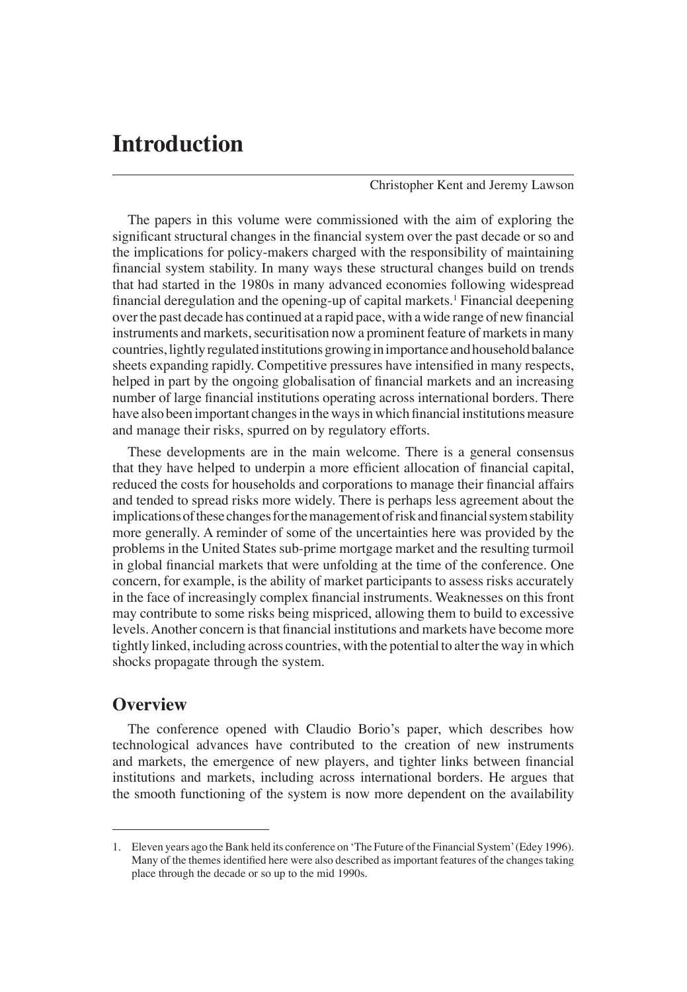# **Introduction**

Christopher Kent and Jeremy Lawson

The papers in this volume were commissioned with the aim of exploring the significant structural changes in the financial system over the past decade or so and the implications for policy-makers charged with the responsibility of maintaining financial system stability. In many ways these structural changes build on trends that had started in the 1980s in many advanced economies following widespread financial deregulation and the opening-up of capital markets.<sup>1</sup> Financial deepening over the past decade has continued at a rapid pace, with a wide range of new financial instruments and markets, securitisation now a prominent feature of markets in many countries, lightly regulated institutions growing in importance and household balance sheets expanding rapidly. Competitive pressures have intensified in many respects, helped in part by the ongoing globalisation of financial markets and an increasing number of large financial institutions operating across international borders. There have also been important changes in the ways in which financial institutions measure and manage their risks, spurred on by regulatory efforts.

These developments are in the main welcome. There is a general consensus that they have helped to underpin a more efficient allocation of financial capital, reduced the costs for households and corporations to manage their financial affairs and tended to spread risks more widely. There is perhaps less agreement about the implications of these changes for the management of risk and financial system stability more generally. A reminder of some of the uncertainties here was provided by the problems in the United States sub-prime mortgage market and the resulting turmoil in global financial markets that were unfolding at the time of the conference. One concern, for example, is the ability of market participants to assess risks accurately in the face of increasingly complex financial instruments. Weaknesses on this front may contribute to some risks being mispriced, allowing them to build to excessive levels. Another concern is that financial institutions and markets have become more tightly linked, including across countries, with the potential to alter the way in which shocks propagate through the system.

## **Overview**

The conference opened with Claudio Borio's paper, which describes how technological advances have contributed to the creation of new instruments and markets, the emergence of new players, and tighter links between financial institutions and markets, including across international borders. He argues that the smooth functioning of the system is now more dependent on the availability

<sup>1.</sup> Eleven years ago the Bank held its conference on 'The Future of the Financial System' (Edey 1996). Many of the themes identified here were also described as important features of the changes taking place through the decade or so up to the mid 1990s.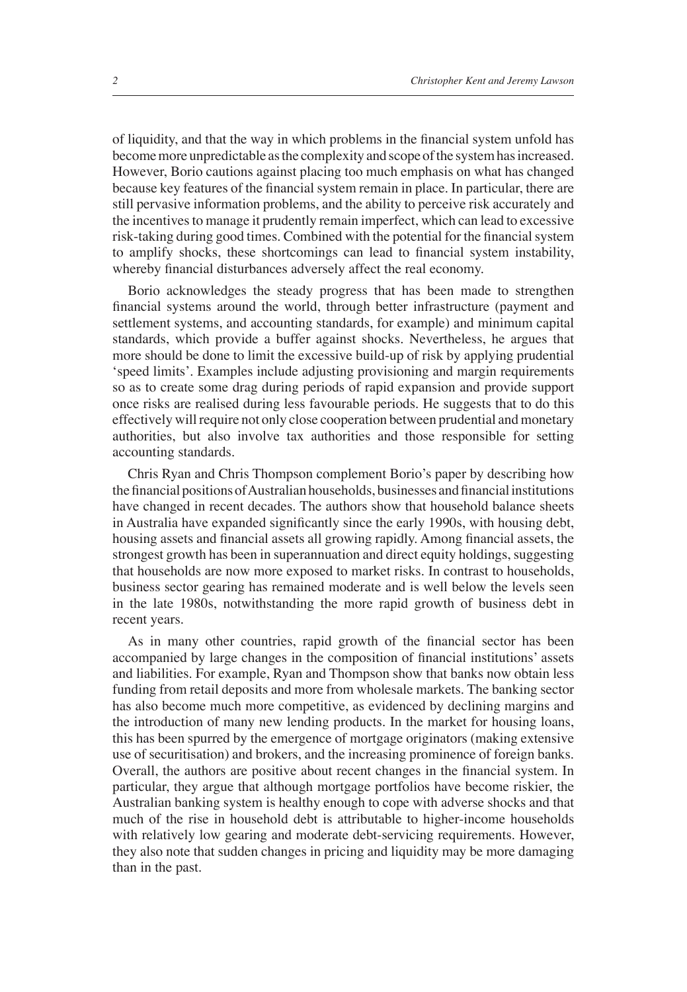of liquidity, and that the way in which problems in the financial system unfold has become more unpredictable as the complexity and scope of the system has increased. However, Borio cautions against placing too much emphasis on what has changed because key features of the financial system remain in place. In particular, there are still pervasive information problems, and the ability to perceive risk accurately and the incentives to manage it prudently remain imperfect, which can lead to excessive risk-taking during good times. Combined with the potential for the financial system to amplify shocks, these shortcomings can lead to financial system instability, whereby financial disturbances adversely affect the real economy.

Borio acknowledges the steady progress that has been made to strengthen financial systems around the world, through better infrastructure (payment and settlement systems, and accounting standards, for example) and minimum capital standards, which provide a buffer against shocks. Nevertheless, he argues that more should be done to limit the excessive build-up of risk by applying prudential 'speed limits'. Examples include adjusting provisioning and margin requirements so as to create some drag during periods of rapid expansion and provide support once risks are realised during less favourable periods. He suggests that to do this effectively will require not only close cooperation between prudential and monetary authorities, but also involve tax authorities and those responsible for setting accounting standards.

Chris Ryan and Chris Thompson complement Borio's paper by describing how the financial positions of Australian households, businesses and financial institutions have changed in recent decades. The authors show that household balance sheets in Australia have expanded significantly since the early 1990s, with housing debt, housing assets and financial assets all growing rapidly. Among financial assets, the strongest growth has been in superannuation and direct equity holdings, suggesting that households are now more exposed to market risks. In contrast to households, business sector gearing has remained moderate and is well below the levels seen in the late 1980s, notwithstanding the more rapid growth of business debt in recent years.

As in many other countries, rapid growth of the financial sector has been accompanied by large changes in the composition of financial institutions' assets and liabilities. For example, Ryan and Thompson show that banks now obtain less funding from retail deposits and more from wholesale markets. The banking sector has also become much more competitive, as evidenced by declining margins and the introduction of many new lending products. In the market for housing loans, this has been spurred by the emergence of mortgage originators (making extensive use of securitisation) and brokers, and the increasing prominence of foreign banks. Overall, the authors are positive about recent changes in the financial system. In particular, they argue that although mortgage portfolios have become riskier, the Australian banking system is healthy enough to cope with adverse shocks and that much of the rise in household debt is attributable to higher-income households with relatively low gearing and moderate debt-servicing requirements. However, they also note that sudden changes in pricing and liquidity may be more damaging than in the past.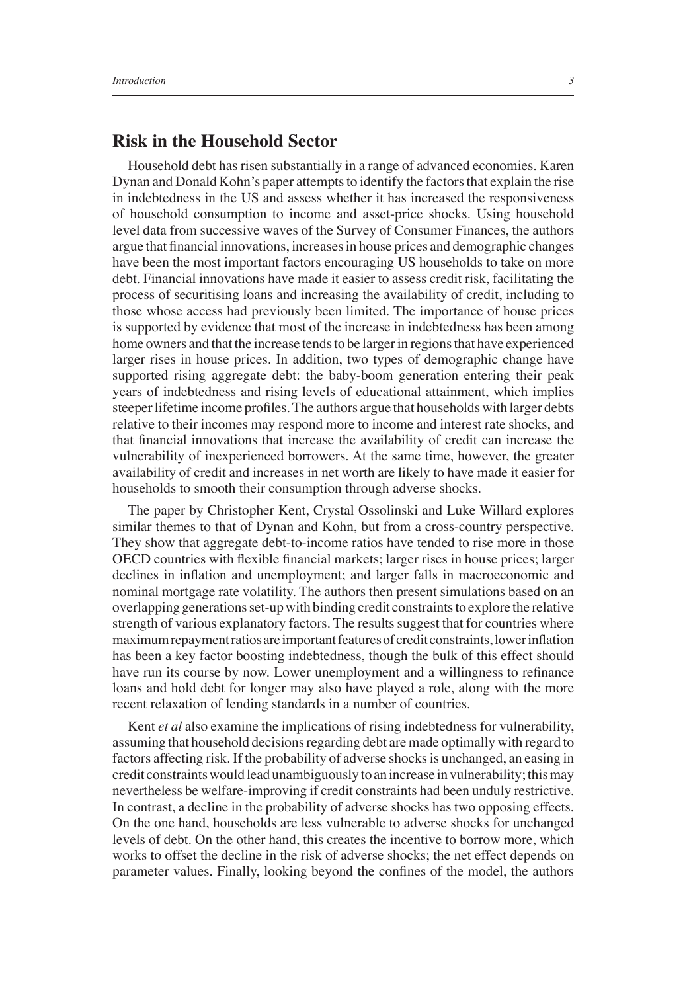# **Risk in the Household Sector**

Household debt has risen substantially in a range of advanced economies. Karen Dynan and Donald Kohn's paper attempts to identify the factors that explain the rise in indebtedness in the US and assess whether it has increased the responsiveness of household consumption to income and asset-price shocks. Using household level data from successive waves of the Survey of Consumer Finances, the authors argue that financial innovations, increases in house prices and demographic changes have been the most important factors encouraging US households to take on more debt. Financial innovations have made it easier to assess credit risk, facilitating the process of securitising loans and increasing the availability of credit, including to those whose access had previously been limited. The importance of house prices is supported by evidence that most of the increase in indebtedness has been among home owners and that the increase tends to be larger in regions that have experienced larger rises in house prices. In addition, two types of demographic change have supported rising aggregate debt: the baby-boom generation entering their peak years of indebtedness and rising levels of educational attainment, which implies steeper lifetime income profiles. The authors argue that households with larger debts relative to their incomes may respond more to income and interest rate shocks, and that financial innovations that increase the availability of credit can increase the vulnerability of inexperienced borrowers. At the same time, however, the greater availability of credit and increases in net worth are likely to have made it easier for households to smooth their consumption through adverse shocks.

The paper by Christopher Kent, Crystal Ossolinski and Luke Willard explores similar themes to that of Dynan and Kohn, but from a cross-country perspective. They show that aggregate debt-to-income ratios have tended to rise more in those OECD countries with flexible financial markets; larger rises in house prices; larger declines in inflation and unemployment; and larger falls in macroeconomic and nominal mortgage rate volatility. The authors then present simulations based on an overlapping generations set-up with binding credit constraints to explore the relative strength of various explanatory factors. The results suggest that for countries where maximum repayment ratios are important features of credit constraints, lower inflation has been a key factor boosting indebtedness, though the bulk of this effect should have run its course by now. Lower unemployment and a willingness to refinance loans and hold debt for longer may also have played a role, along with the more recent relaxation of lending standards in a number of countries.

Kent *et al* also examine the implications of rising indebtedness for vulnerability, assuming that household decisions regarding debt are made optimally with regard to factors affecting risk. If the probability of adverse shocks is unchanged, an easing in credit constraints would lead unambiguously to an increase in vulnerability; this may nevertheless be welfare-improving if credit constraints had been unduly restrictive. In contrast, a decline in the probability of adverse shocks has two opposing effects. On the one hand, households are less vulnerable to adverse shocks for unchanged levels of debt. On the other hand, this creates the incentive to borrow more, which works to offset the decline in the risk of adverse shocks; the net effect depends on parameter values. Finally, looking beyond the confines of the model, the authors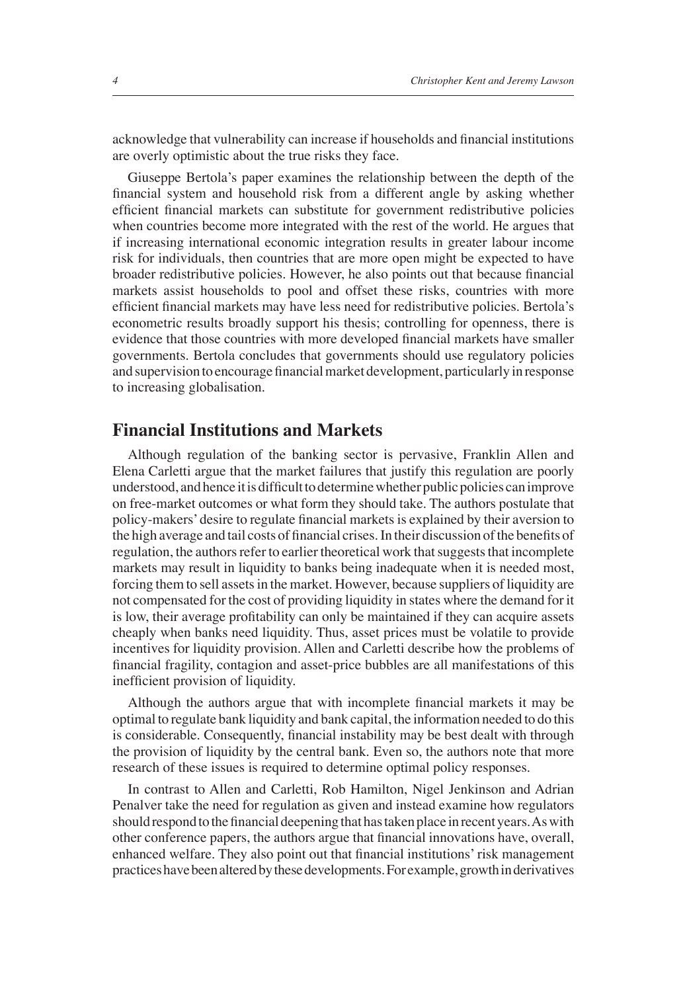acknowledge that vulnerability can increase if households and financial institutions are overly optimistic about the true risks they face.

Giuseppe Bertola's paper examines the relationship between the depth of the financial system and household risk from a different angle by asking whether efficient financial markets can substitute for government redistributive policies when countries become more integrated with the rest of the world. He argues that if increasing international economic integration results in greater labour income risk for individuals, then countries that are more open might be expected to have broader redistributive policies. However, he also points out that because financial markets assist households to pool and offset these risks, countries with more efficient financial markets may have less need for redistributive policies. Bertola's econometric results broadly support his thesis; controlling for openness, there is evidence that those countries with more developed financial markets have smaller governments. Bertola concludes that governments should use regulatory policies and supervision to encourage financial market development, particularly in response to increasing globalisation.

#### **Financial Institutions and Markets**

Although regulation of the banking sector is pervasive, Franklin Allen and Elena Carletti argue that the market failures that justify this regulation are poorly understood, and hence it is difficult to determine whether public policies can improve on free-market outcomes or what form they should take. The authors postulate that policy-makers' desire to regulate financial markets is explained by their aversion to the high average and tail costs of financial crises. In their discussion of the benefits of regulation, the authors refer to earlier theoretical work that suggests that incomplete markets may result in liquidity to banks being inadequate when it is needed most, forcing them to sell assets in the market. However, because suppliers of liquidity are not compensated for the cost of providing liquidity in states where the demand for it is low, their average profitability can only be maintained if they can acquire assets cheaply when banks need liquidity. Thus, asset prices must be volatile to provide incentives for liquidity provision. Allen and Carletti describe how the problems of financial fragility, contagion and asset-price bubbles are all manifestations of this inefficient provision of liquidity.

Although the authors argue that with incomplete financial markets it may be optimal to regulate bank liquidity and bank capital, the information needed to do this is considerable. Consequently, financial instability may be best dealt with through the provision of liquidity by the central bank. Even so, the authors note that more research of these issues is required to determine optimal policy responses.

In contrast to Allen and Carletti, Rob Hamilton, Nigel Jenkinson and Adrian Penalver take the need for regulation as given and instead examine how regulators should respond to the financial deepening that has taken place in recent years. As with other conference papers, the authors argue that financial innovations have, overall, enhanced welfare. They also point out that financial institutions' risk management practices have been altered by these developments. For example, growth in derivatives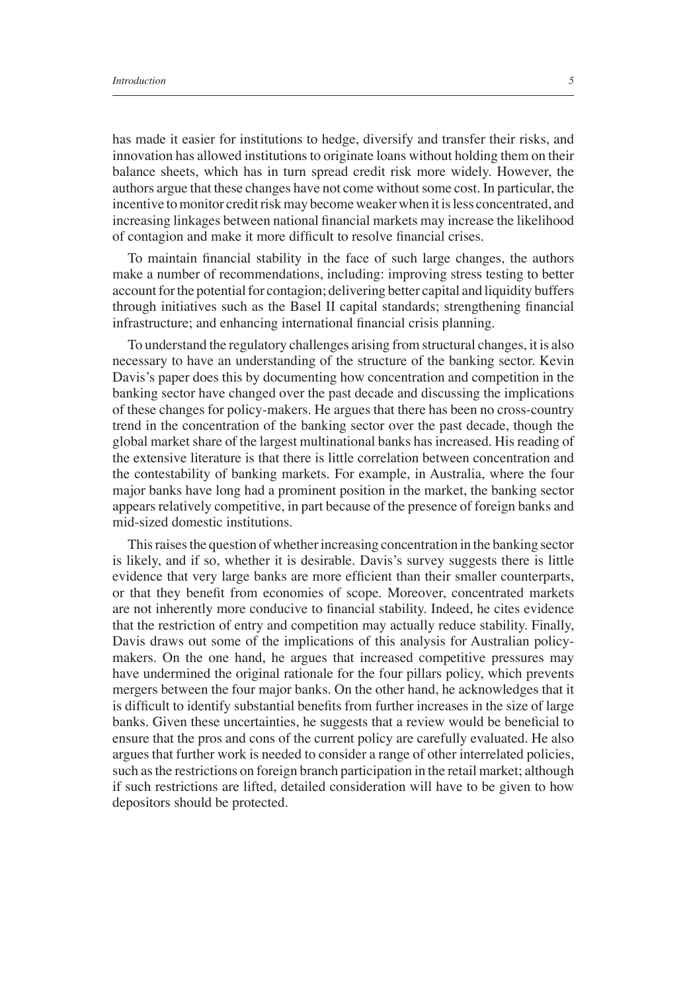has made it easier for institutions to hedge, diversify and transfer their risks, and innovation has allowed institutions to originate loans without holding them on their balance sheets, which has in turn spread credit risk more widely. However, the authors argue that these changes have not come without some cost. In particular, the incentive to monitor credit risk may become weaker when it is less concentrated, and increasing linkages between national financial markets may increase the likelihood of contagion and make it more difficult to resolve financial crises.

To maintain financial stability in the face of such large changes, the authors make a number of recommendations, including: improving stress testing to better account for the potential for contagion; delivering better capital and liquidity buffers through initiatives such as the Basel II capital standards; strengthening financial infrastructure; and enhancing international financial crisis planning.

To understand the regulatory challenges arising from structural changes, it is also necessary to have an understanding of the structure of the banking sector. Kevin Davis's paper does this by documenting how concentration and competition in the banking sector have changed over the past decade and discussing the implications of these changes for policy-makers. He argues that there has been no cross-country trend in the concentration of the banking sector over the past decade, though the global market share of the largest multinational banks has increased. His reading of the extensive literature is that there is little correlation between concentration and the contestability of banking markets. For example, in Australia, where the four major banks have long had a prominent position in the market, the banking sector appears relatively competitive, in part because of the presence of foreign banks and mid-sized domestic institutions.

This raises the question of whether increasing concentration in the banking sector is likely, and if so, whether it is desirable. Davis's survey suggests there is little evidence that very large banks are more efficient than their smaller counterparts, or that they benefit from economies of scope. Moreover, concentrated markets are not inherently more conducive to financial stability. Indeed, he cites evidence that the restriction of entry and competition may actually reduce stability. Finally, Davis draws out some of the implications of this analysis for Australian policymakers. On the one hand, he argues that increased competitive pressures may have undermined the original rationale for the four pillars policy, which prevents mergers between the four major banks. On the other hand, he acknowledges that it is difficult to identify substantial benefits from further increases in the size of large banks. Given these uncertainties, he suggests that a review would be beneficial to ensure that the pros and cons of the current policy are carefully evaluated. He also argues that further work is needed to consider a range of other interrelated policies, such as the restrictions on foreign branch participation in the retail market; although if such restrictions are lifted, detailed consideration will have to be given to how depositors should be protected.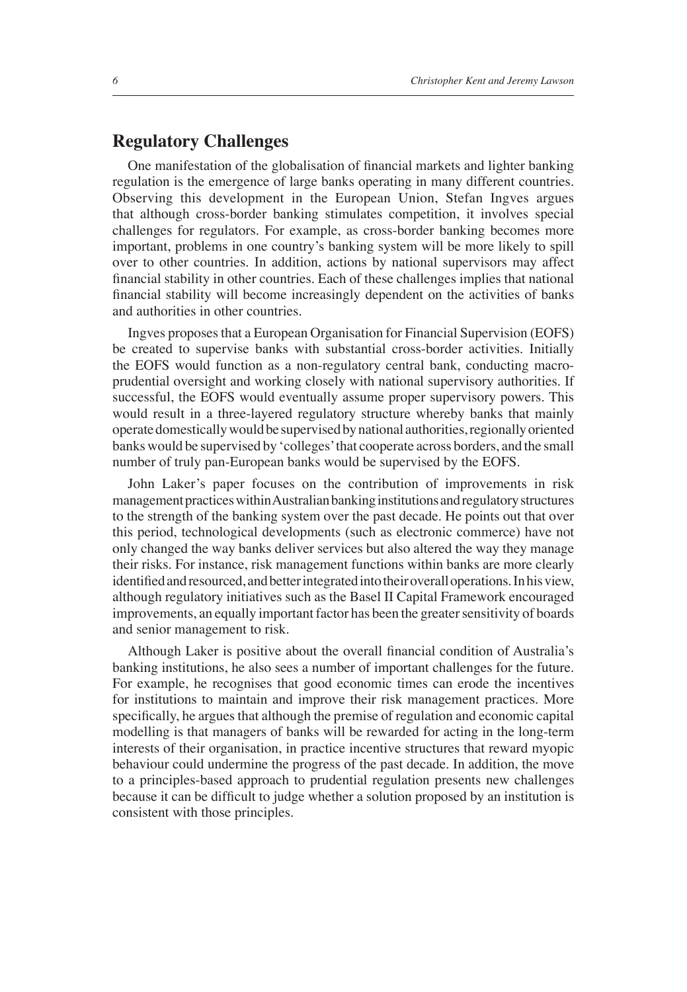# **Regulatory Challenges**

One manifestation of the globalisation of financial markets and lighter banking regulation is the emergence of large banks operating in many different countries. Observing this development in the European Union, Stefan Ingves argues that although cross-border banking stimulates competition, it involves special challenges for regulators. For example, as cross-border banking becomes more important, problems in one country's banking system will be more likely to spill over to other countries. In addition, actions by national supervisors may affect financial stability in other countries. Each of these challenges implies that national financial stability will become increasingly dependent on the activities of banks and authorities in other countries.

Ingves proposes that a European Organisation for Financial Supervision (EOFS) be created to supervise banks with substantial cross-border activities. Initially the EOFS would function as a non-regulatory central bank, conducting macroprudential oversight and working closely with national supervisory authorities. If successful, the EOFS would eventually assume proper supervisory powers. This would result in a three-layered regulatory structure whereby banks that mainly operate domestically would be supervised by national authorities, regionally oriented banks would be supervised by 'colleges' that cooperate across borders, and the small number of truly pan-European banks would be supervised by the EOFS.

John Laker's paper focuses on the contribution of improvements in risk management practices within Australian banking institutions and regulatory structures to the strength of the banking system over the past decade. He points out that over this period, technological developments (such as electronic commerce) have not only changed the way banks deliver services but also altered the way they manage their risks. For instance, risk management functions within banks are more clearly identified and resourced, and better integrated into their overall operations. In his view, although regulatory initiatives such as the Basel II Capital Framework encouraged improvements, an equally important factor has been the greater sensitivity of boards and senior management to risk.

Although Laker is positive about the overall financial condition of Australia's banking institutions, he also sees a number of important challenges for the future. For example, he recognises that good economic times can erode the incentives for institutions to maintain and improve their risk management practices. More specifically, he argues that although the premise of regulation and economic capital modelling is that managers of banks will be rewarded for acting in the long-term interests of their organisation, in practice incentive structures that reward myopic behaviour could undermine the progress of the past decade. In addition, the move to a principles-based approach to prudential regulation presents new challenges because it can be difficult to judge whether a solution proposed by an institution is consistent with those principles.